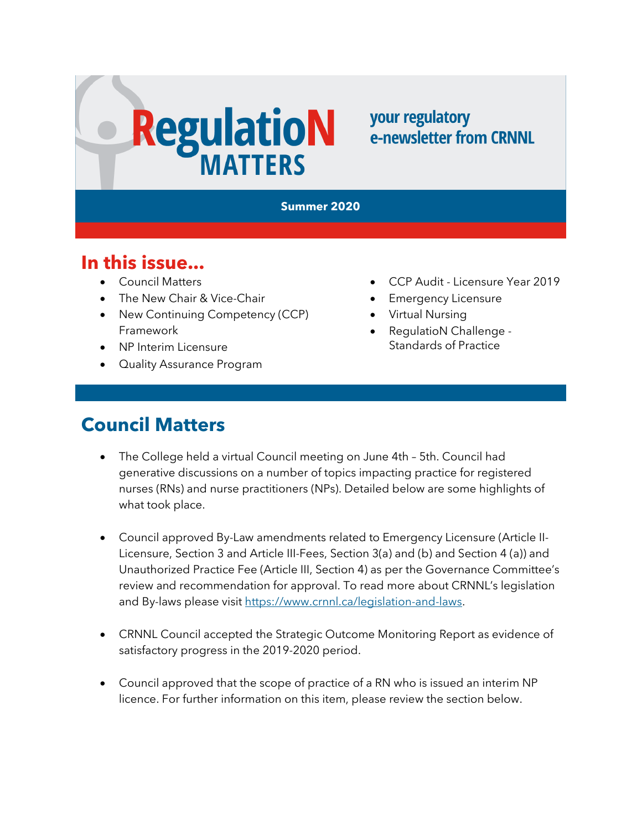# **RegulatioN**

#### your regulatory e-newsletter from CRNNL

#### **Summer 2020**

#### **In this issue...**

- Council Matters
- The New Chair & Vice-Chair
- New Continuing Competency (CCP) Framework
- NP Interim Licensure
- Quality Assurance Program
- CCP Audit Licensure Year 2019
- **Emergency Licensure**
- Virtual Nursing
- RegulatioN Challenge Standards of Practice

# **Council Matters**

- The College held a virtual Council meeting on June 4th 5th. Council had generative discussions on a number of topics impacting practice for registered nurses (RNs) and nurse practitioners (NPs). Detailed below are some highlights of what took place.
- Council approved By-Law amendments related to Emergency Licensure (Article II-Licensure, Section 3 and Article III-Fees, Section 3(a) and (b) and Section 4 (a)) and Unauthorized Practice Fee (Article III, Section 4) as per the Governance Committee's review and recommendation for approval. To read more about CRNNL's legislation and By-laws please visit [https://www.crnnl.ca/legislation-and-laws.](https://www.crnnl.ca/legislation-and-laws)
- CRNNL Council accepted the Strategic Outcome Monitoring Report as evidence of satisfactory progress in the 2019-2020 period.
- Council approved that the scope of practice of a RN who is issued an interim NP licence. For further information on this item, please review the section below.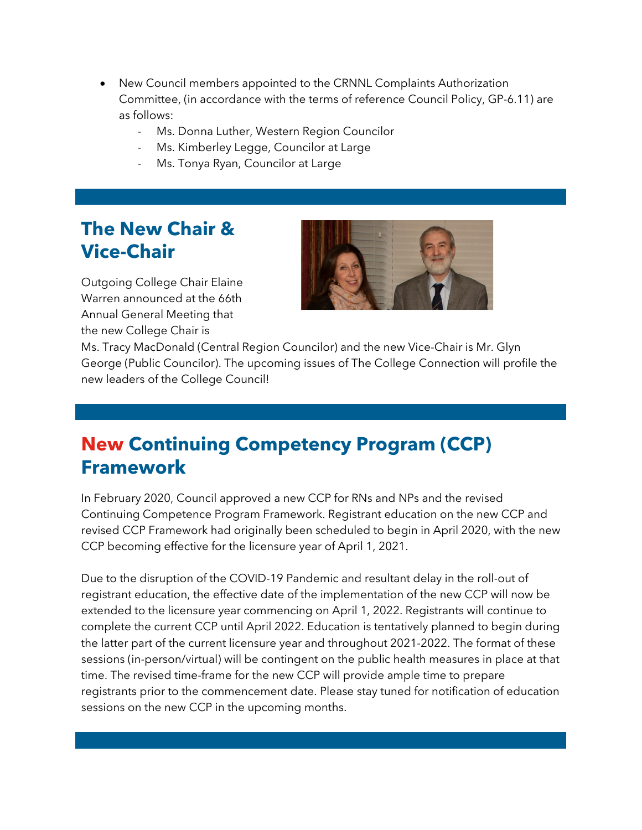- New Council members appointed to the CRNNL Complaints Authorization Committee, (in accordance with the terms of reference Council Policy, GP-6.11) are as follows:
	- Ms. Donna Luther, Western Region Councilor
	- Ms. Kimberley Legge, Councilor at Large
	- Ms. Tonya Ryan, Councilor at Large

## **The New Chair & Vice-Chair**

Outgoing College Chair Elaine Warren announced at the 66th Annual General Meeting that the new College Chair is



Ms. Tracy MacDonald (Central Region Councilor) and the new Vice-Chair is Mr. Glyn George (Public Councilor). The upcoming issues of The College Connection will profile the new leaders of the College Council!

## **New Continuing Competency Program (CCP) Framework**

In February 2020, Council approved a new CCP for RNs and NPs and the revised Continuing Competence Program Framework. Registrant education on the new CCP and revised CCP Framework had originally been scheduled to begin in April 2020, with the new CCP becoming effective for the licensure year of April 1, 2021.

Due to the disruption of the COVID-19 Pandemic and resultant delay in the roll-out of registrant education, the effective date of the implementation of the new CCP will now be extended to the licensure year commencing on April 1, 2022. Registrants will continue to complete the current CCP until April 2022. Education is tentatively planned to begin during the latter part of the current licensure year and throughout 2021-2022. The format of these sessions (in-person/virtual) will be contingent on the public health measures in place at that time. The revised time-frame for the new CCP will provide ample time to prepare registrants prior to the commencement date. Please stay tuned for notification of education sessions on the new CCP in the upcoming months.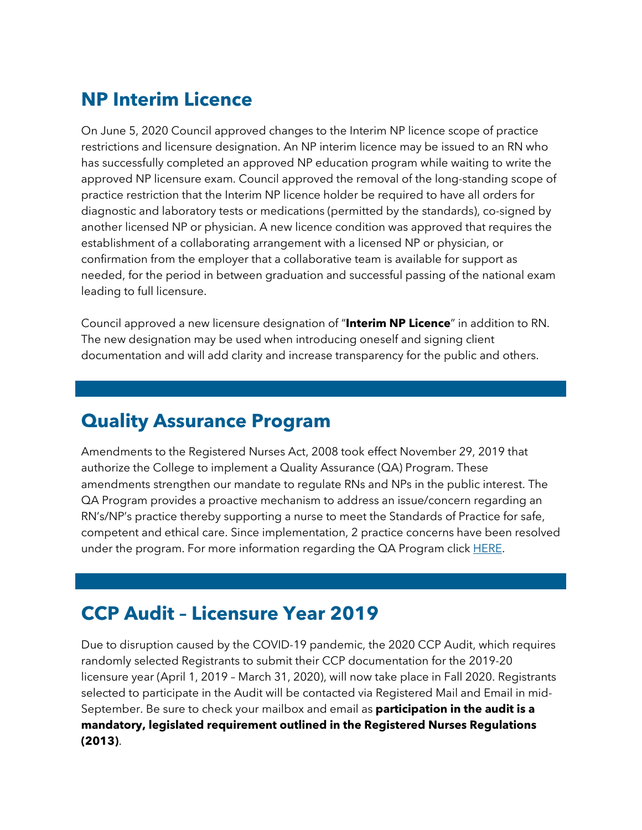# **NP Interim Licence**

On June 5, 2020 Council approved changes to the Interim NP licence scope of practice restrictions and licensure designation. An NP interim licence may be issued to an RN who has successfully completed an approved NP education program while waiting to write the approved NP licensure exam. Council approved the removal of the long-standing scope of practice restriction that the Interim NP licence holder be required to have all orders for diagnostic and laboratory tests or medications (permitted by the standards), co-signed by another licensed NP or physician. A new licence condition was approved that requires the establishment of a collaborating arrangement with a licensed NP or physician, or confirmation from the employer that a collaborative team is available for support as needed, for the period in between graduation and successful passing of the national exam leading to full licensure.

Council approved a new licensure designation of "**Interim NP Licence**" in addition to RN. The new designation may be used when introducing oneself and signing client documentation and will add clarity and increase transparency for the public and others.

#### **Quality Assurance Program**

Amendments to the Registered Nurses Act, 2008 took effect November 29, 2019 that authorize the College to implement a Quality Assurance (QA) Program. These amendments strengthen our mandate to regulate RNs and NPs in the public interest. The QA Program provides a proactive mechanism to address an issue/concern regarding an RN's/NP's practice thereby supporting a nurse to meet the Standards of Practice for safe, competent and ethical care. Since implementation, 2 practice concerns have been resolved under the program. For more information regarding the QA Program click [HERE.](https://www.crnnl.ca/sites/default/files/RD_Quality_Assurance_Program.pdf)

#### **CCP Audit – Licensure Year 2019**

Due to disruption caused by the COVID-19 pandemic, the 2020 CCP Audit, which requires randomly selected Registrants to submit their CCP documentation for the 2019-20 licensure year (April 1, 2019 – March 31, 2020), will now take place in Fall 2020. Registrants selected to participate in the Audit will be contacted via Registered Mail and Email in mid-September. Be sure to check your mailbox and email as **participation in the audit is a mandatory, legislated requirement outlined in the Registered Nurses Regulations (2013)**.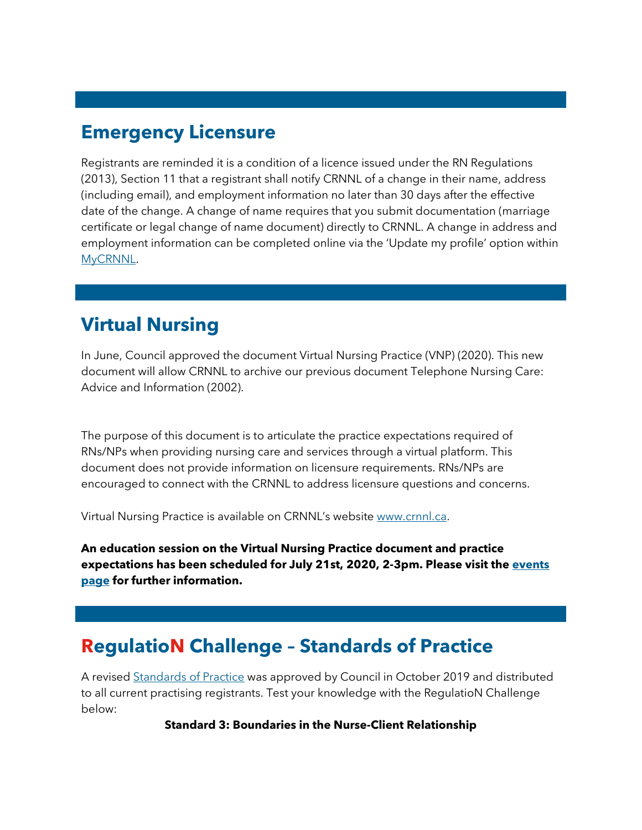# **Emergency Licensure**

Registrants are reminded it is a condition of a licence issued under the RN Regulations (2013), Section 11 that a registrant shall notify CRNNL of a change in their name, address (including email), and employment information no later than 30 days after the effective date of the change. A change of name requires that you submit documentation (marriage certificate or legal change of name document) directly to CRNNL. A change in address and employment information can be completed online via the 'Update my profile' option within [MyCRNNL.](https://mycrnnl.ca/)

# **Virtual Nursing**

In June, Council approved the document Virtual Nursing Practice (VNP) (2020). This new document will allow CRNNL to archive our previous document Telephone Nursing Care: Advice and Information (2002).

The purpose of this document is to articulate the practice expectations required of RNs/NPs when providing nursing care and services through a virtual platform. This document does not provide information on licensure requirements. RNs/NPs are encouraged to connect with the CRNNL to address licensure questions and concerns.

Virtual Nursing Practice is available on CRNNL's website [www.crnnl.ca.](http://www.crnnl.ca/)

**An education session on the Virtual Nursing Practice document and practice expectations has been scheduled for July 21st, 2020, 2-3pm. Please visit the [events](https://crnnl.ca/events-calendar)  [page](https://crnnl.ca/events-calendar) for further information.**

## **RegulatioN Challenge – Standards of Practice**

A revised [Standards of Practice](https://www.crnnl.ca/sites/default/files/documents/Standards_of_Practice_for%20RNs_and_NPs.pdf) was approved by Council in October 2019 and distributed to all current practising registrants. Test your knowledge with the RegulatioN Challenge below:

#### **Standard 3: Boundaries in the Nurse-Client Relationship**